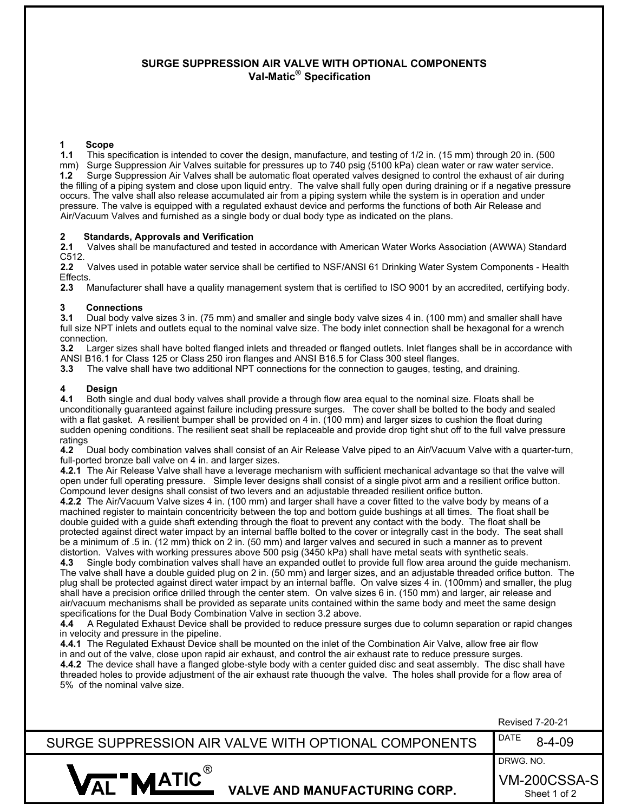## **SURGE SUPPRESSION AIR VALVE WITH OPTIONAL COMPONENTS Val-Matic® Specification**

#### **1 Scope**

**1.1** This specification is intended to cover the design, manufacture, and testing of 1/2 in. (15 mm) through 20 in. (500 mm) Surge Suppression Air Valves suitable for pressures up to 740 psig (5100 kPa) clean water or raw water service. **1.2** Surge Suppression Air Valves shall be automatic float operated valves designed to control the exhaust of air during the filling of a piping system and close upon liquid entry. The valve shall fully open during draining or if a negative pressure occurs. The valve shall also release accumulated air from a piping system while the system is in operation and under pressure. The valve is equipped with a regulated exhaust device and performs the functions of both Air Release and Air/Vacuum Valves and furnished as a single body or dual body type as indicated on the plans.

## **2 Standards, Approvals and Verification**

**2.1** Valves shall be manufactured and tested in accordance with American Water Works Association (AWWA) Standard C512.

**2.2** Valves used in potable water service shall be certified to NSF/ANSI 61 Drinking Water System Components - Health Effects.

**2.3** Manufacturer shall have a quality management system that is certified to ISO 9001 by an accredited, certifying body.

## **3 Connections**<br>**3.1** Dual body val

**3.1** Dual body valve sizes 3 in. (75 mm) and smaller and single body valve sizes 4 in. (100 mm) and smaller shall have full size NPT inlets and outlets equal to the nominal valve size. The body inlet connection shall be hexagonal for a wrench connection.<br>3.2 Large

**3.2** Larger sizes shall have bolted flanged inlets and threaded or flanged outlets. Inlet flanges shall be in accordance with ANSI B16.1 for Class 125 or Class 250 iron flanges and ANSI B16.5 for Class 300 steel flanges.

**3.3** The valve shall have two additional NPT connections for the connection to gauges, testing, and draining.

# **4 Design**

**4.1** Both single and dual body valves shall provide a through flow area equal to the nominal size. Floats shall be unconditionally guaranteed against failure including pressure surges. The cover shall be bolted to the body and sealed with a flat gasket. A resilient bumper shall be provided on 4 in. (100 mm) and larger sizes to cushion the float during sudden opening conditions. The resilient seat shall be replaceable and provide drop tight shut off to the full valve pressure ratings

**4.2** Dual body combination valves shall consist of an Air Release Valve piped to an Air/Vacuum Valve with a quarter-turn, full-ported bronze ball valve on 4 in. and larger sizes.

**4.2.1** The Air Release Valve shall have a leverage mechanism with sufficient mechanical advantage so that the valve will open under full operating pressure. Simple lever designs shall consist of a single pivot arm and a resilient orifice button. Compound lever designs shall consist of two levers and an adjustable threaded resilient orifice button.

**4.2.2** The Air/Vacuum Valve sizes 4 in. (100 mm) and larger shall have a cover fitted to the valve body by means of a machined register to maintain concentricity between the top and bottom guide bushings at all times. The float shall be double guided with a guide shaft extending through the float to prevent any contact with the body. The float shall be protected against direct water impact by an internal baffle bolted to the cover or integrally cast in the body. The seat shall be a minimum of .5 in. (12 mm) thick on 2 in. (50 mm) and larger valves and secured in such a manner as to prevent distortion. Valves with working pressures above 500 psig (3450 kPa) shall have metal seats with synthetic seals.

**4.3** Single body combination valves shall have an expanded outlet to provide full flow area around the guide mechanism. The valve shall have a double guided plug on 2 in. (50 mm) and larger sizes, and an adjustable threaded orifice button. The plug shall be protected against direct water impact by an internal baffle. On valve sizes 4 in. (100mm) and smaller, the plug shall have a precision orifice drilled through the center stem. On valve sizes 6 in. (150 mm) and larger, air release and air/vacuum mechanisms shall be provided as separate units contained within the same body and meet the same design specifications for the Dual Body Combination Valve in section 3.2 above.

**4.4** A Regulated Exhaust Device shall be provided to reduce pressure surges due to column separation or rapid changes in velocity and pressure in the pipeline.

**4.4.1** The Regulated Exhaust Device shall be mounted on the inlet of the Combination Air Valve, allow free air flow in and out of the valve, close upon rapid air exhaust, and control the air exhaust rate to reduce pressure surges. **4.4.2** The device shall have a flanged globe-style body with a center guided disc and seat assembly. The disc shall have threaded holes to provide adjustment of the air exhaust rate thuough the valve. The holes shall provide for a flow area of 5% of the nominal valve size.

|                                                      | <b>Revised 7-20-21</b>       |
|------------------------------------------------------|------------------------------|
| SURGE SUPPRESSION AIR VALVE WITH OPTIONAL COMPONENTS | DATE<br>$8 - 4 - 09$         |
|                                                      | DRWG. NO.                    |
| <b>MATIC</b><br><b>VALVE AND MANUFACTURING CORP.</b> | VM-200CSSA-S<br>Sheet 1 of 2 |